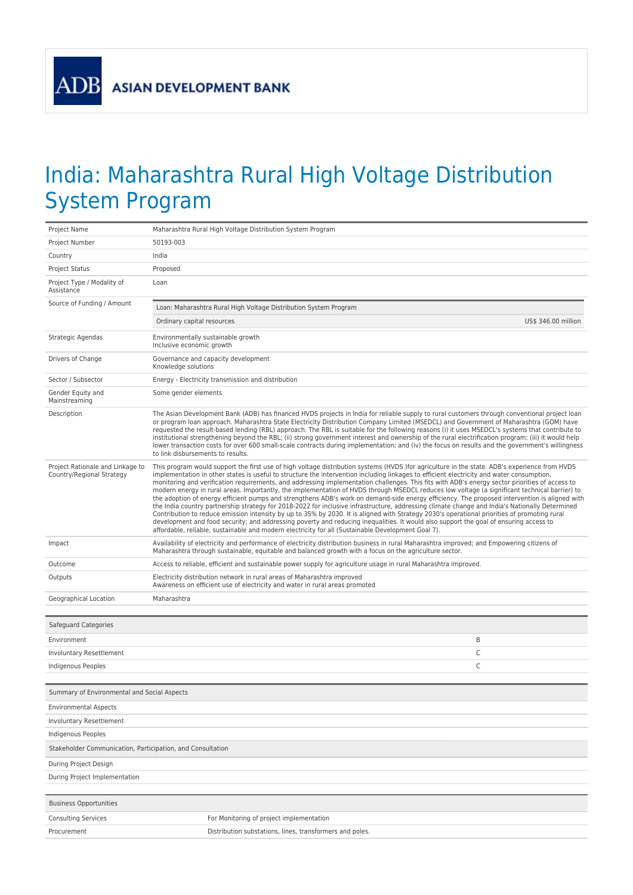## India: Maharashtra Rural High Voltage Distribution System Program

| Project Name                                                  | Maharashtra Rural High Voltage Distribution System Program                                                                                                                                                                                                                                                                                                                                                                                                                                                                                                                                                                                                                                                                                                                                                                                                                                                                                                                                                                                                                                                                                                                                                                                                                                      |                     |  |
|---------------------------------------------------------------|-------------------------------------------------------------------------------------------------------------------------------------------------------------------------------------------------------------------------------------------------------------------------------------------------------------------------------------------------------------------------------------------------------------------------------------------------------------------------------------------------------------------------------------------------------------------------------------------------------------------------------------------------------------------------------------------------------------------------------------------------------------------------------------------------------------------------------------------------------------------------------------------------------------------------------------------------------------------------------------------------------------------------------------------------------------------------------------------------------------------------------------------------------------------------------------------------------------------------------------------------------------------------------------------------|---------------------|--|
| Project Number                                                | 50193-003                                                                                                                                                                                                                                                                                                                                                                                                                                                                                                                                                                                                                                                                                                                                                                                                                                                                                                                                                                                                                                                                                                                                                                                                                                                                                       |                     |  |
| Country                                                       | India                                                                                                                                                                                                                                                                                                                                                                                                                                                                                                                                                                                                                                                                                                                                                                                                                                                                                                                                                                                                                                                                                                                                                                                                                                                                                           |                     |  |
| Project Status                                                | Proposed                                                                                                                                                                                                                                                                                                                                                                                                                                                                                                                                                                                                                                                                                                                                                                                                                                                                                                                                                                                                                                                                                                                                                                                                                                                                                        |                     |  |
| Project Type / Modality of<br>Assistance                      | Loan                                                                                                                                                                                                                                                                                                                                                                                                                                                                                                                                                                                                                                                                                                                                                                                                                                                                                                                                                                                                                                                                                                                                                                                                                                                                                            |                     |  |
| Source of Funding / Amount                                    | Loan: Maharashtra Rural High Voltage Distribution System Program                                                                                                                                                                                                                                                                                                                                                                                                                                                                                                                                                                                                                                                                                                                                                                                                                                                                                                                                                                                                                                                                                                                                                                                                                                |                     |  |
|                                                               | Ordinary capital resources                                                                                                                                                                                                                                                                                                                                                                                                                                                                                                                                                                                                                                                                                                                                                                                                                                                                                                                                                                                                                                                                                                                                                                                                                                                                      | US\$ 346.00 million |  |
| Strategic Agendas                                             | Environmentally sustainable growth<br>Inclusive economic growth                                                                                                                                                                                                                                                                                                                                                                                                                                                                                                                                                                                                                                                                                                                                                                                                                                                                                                                                                                                                                                                                                                                                                                                                                                 |                     |  |
| Drivers of Change                                             | Governance and capacity development<br>Knowledge solutions                                                                                                                                                                                                                                                                                                                                                                                                                                                                                                                                                                                                                                                                                                                                                                                                                                                                                                                                                                                                                                                                                                                                                                                                                                      |                     |  |
| Sector / Subsector                                            | Energy - Electricity transmission and distribution                                                                                                                                                                                                                                                                                                                                                                                                                                                                                                                                                                                                                                                                                                                                                                                                                                                                                                                                                                                                                                                                                                                                                                                                                                              |                     |  |
| Gender Equity and<br>Mainstreaming                            | Some gender elements                                                                                                                                                                                                                                                                                                                                                                                                                                                                                                                                                                                                                                                                                                                                                                                                                                                                                                                                                                                                                                                                                                                                                                                                                                                                            |                     |  |
| Description                                                   | The Asian Development Bank (ADB) has financed HVDS projects in India for reliable supply to rural customers through conventional project loan<br>or program loan approach. Maharashtra State Electricity Distribution Company Limited (MSEDCL) and Government of Maharashtra (GOM) have<br>requested the result-based lending (RBL) approach. The RBL is suitable for the following reasons (i) it uses MSEDCL's systems that contribute to<br>institutional strengthening beyond the RBL; (ii) strong government interest and ownership of the rural electrification program; (iii) it would help<br>lower transaction costs for over 600 small-scale contracts during implementation; and (iv) the focus on results and the government's willingness<br>to link disbursements to results.                                                                                                                                                                                                                                                                                                                                                                                                                                                                                                     |                     |  |
| Project Rationale and Linkage to<br>Country/Regional Strategy | This program would support the first use of high voltage distribution systems (HVDS) for agriculture in the state. ADB's experience from HVDS<br>implementation in other states is useful to structure the intervention including linkages to efficient electricity and water consumption,<br>monitoring and verification requirements, and addressing implementation challenges. This fits with ADB's energy sector priorities of access to<br>modern energy in rural areas. Importantly, the implementation of HVDS through MSEDCL reduces low voltage (a significant technical barrier) to<br>the adoption of energy efficient pumps and strengthens ADB's work on demand-side energy efficiency. The proposed intervention is aligned with<br>the India country partnership strategy for 2018-2022 for inclusive infrastructure, addressing climate change and India's Nationally Determined<br>Contribution to reduce emission intensity by up to 35% by 2030. It is aligned with Strategy 2030's operational priorities of promoting rural<br>development and food security; and addressing poverty and reducing inequalities. It would also support the goal of ensuring access to<br>affordable, reliable, sustainable and modern electricity for all (Sustainable Development Goal 7). |                     |  |
| Impact                                                        | Availability of electricity and performance of electricity distribution business in rural Maharashtra improved; and Empowering citizens of<br>Maharashtra through sustainable, equitable and balanced growth with a focus on the agriculture sector.                                                                                                                                                                                                                                                                                                                                                                                                                                                                                                                                                                                                                                                                                                                                                                                                                                                                                                                                                                                                                                            |                     |  |
| Outcome                                                       | Access to reliable, efficient and sustainable power supply for agriculture usage in rural Maharashtra improved.                                                                                                                                                                                                                                                                                                                                                                                                                                                                                                                                                                                                                                                                                                                                                                                                                                                                                                                                                                                                                                                                                                                                                                                 |                     |  |
| Outputs                                                       | Electricity distribution network in rural areas of Maharashtra improved<br>Awareness on efficient use of electricity and water in rural areas promoted                                                                                                                                                                                                                                                                                                                                                                                                                                                                                                                                                                                                                                                                                                                                                                                                                                                                                                                                                                                                                                                                                                                                          |                     |  |
| Geographical Location                                         | Maharashtra                                                                                                                                                                                                                                                                                                                                                                                                                                                                                                                                                                                                                                                                                                                                                                                                                                                                                                                                                                                                                                                                                                                                                                                                                                                                                     |                     |  |
|                                                               |                                                                                                                                                                                                                                                                                                                                                                                                                                                                                                                                                                                                                                                                                                                                                                                                                                                                                                                                                                                                                                                                                                                                                                                                                                                                                                 |                     |  |
| Safeguard Categories                                          |                                                                                                                                                                                                                                                                                                                                                                                                                                                                                                                                                                                                                                                                                                                                                                                                                                                                                                                                                                                                                                                                                                                                                                                                                                                                                                 |                     |  |
| Environment                                                   |                                                                                                                                                                                                                                                                                                                                                                                                                                                                                                                                                                                                                                                                                                                                                                                                                                                                                                                                                                                                                                                                                                                                                                                                                                                                                                 | B                   |  |
| Involuntary Resettlement                                      |                                                                                                                                                                                                                                                                                                                                                                                                                                                                                                                                                                                                                                                                                                                                                                                                                                                                                                                                                                                                                                                                                                                                                                                                                                                                                                 | C                   |  |
| Indigenous Peoples                                            |                                                                                                                                                                                                                                                                                                                                                                                                                                                                                                                                                                                                                                                                                                                                                                                                                                                                                                                                                                                                                                                                                                                                                                                                                                                                                                 | C                   |  |
| Summary of Environmental and Social Aspects                   |                                                                                                                                                                                                                                                                                                                                                                                                                                                                                                                                                                                                                                                                                                                                                                                                                                                                                                                                                                                                                                                                                                                                                                                                                                                                                                 |                     |  |
| <b>Environmental Aspects</b>                                  |                                                                                                                                                                                                                                                                                                                                                                                                                                                                                                                                                                                                                                                                                                                                                                                                                                                                                                                                                                                                                                                                                                                                                                                                                                                                                                 |                     |  |
| Involuntary Resettlement                                      |                                                                                                                                                                                                                                                                                                                                                                                                                                                                                                                                                                                                                                                                                                                                                                                                                                                                                                                                                                                                                                                                                                                                                                                                                                                                                                 |                     |  |
| Indigenous Peoples                                            |                                                                                                                                                                                                                                                                                                                                                                                                                                                                                                                                                                                                                                                                                                                                                                                                                                                                                                                                                                                                                                                                                                                                                                                                                                                                                                 |                     |  |
| Stakeholder Communication, Participation, and Consultation    |                                                                                                                                                                                                                                                                                                                                                                                                                                                                                                                                                                                                                                                                                                                                                                                                                                                                                                                                                                                                                                                                                                                                                                                                                                                                                                 |                     |  |
| During Project Design                                         |                                                                                                                                                                                                                                                                                                                                                                                                                                                                                                                                                                                                                                                                                                                                                                                                                                                                                                                                                                                                                                                                                                                                                                                                                                                                                                 |                     |  |
| During Project Implementation                                 |                                                                                                                                                                                                                                                                                                                                                                                                                                                                                                                                                                                                                                                                                                                                                                                                                                                                                                                                                                                                                                                                                                                                                                                                                                                                                                 |                     |  |
| <b>Business Opportunities</b>                                 |                                                                                                                                                                                                                                                                                                                                                                                                                                                                                                                                                                                                                                                                                                                                                                                                                                                                                                                                                                                                                                                                                                                                                                                                                                                                                                 |                     |  |
| <b>Consulting Services</b>                                    | For Monitoring of project implementation                                                                                                                                                                                                                                                                                                                                                                                                                                                                                                                                                                                                                                                                                                                                                                                                                                                                                                                                                                                                                                                                                                                                                                                                                                                        |                     |  |
| Procurement                                                   | Distribution substations, lines, transformers and poles.                                                                                                                                                                                                                                                                                                                                                                                                                                                                                                                                                                                                                                                                                                                                                                                                                                                                                                                                                                                                                                                                                                                                                                                                                                        |                     |  |
|                                                               |                                                                                                                                                                                                                                                                                                                                                                                                                                                                                                                                                                                                                                                                                                                                                                                                                                                                                                                                                                                                                                                                                                                                                                                                                                                                                                 |                     |  |